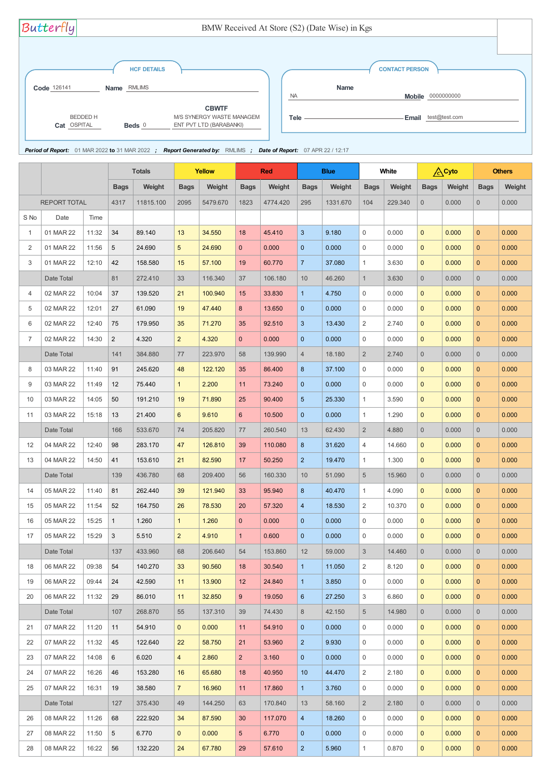|                |                     |       | <b>Totals</b>   |           | <b>Yellow</b>  |          | <b>Red</b>       |          | <b>Blue</b>    |          | White          |         | <b>A</b> Cyto  |        |                | <b>Others</b> |
|----------------|---------------------|-------|-----------------|-----------|----------------|----------|------------------|----------|----------------|----------|----------------|---------|----------------|--------|----------------|---------------|
|                |                     |       | <b>Bags</b>     | Weight    | <b>Bags</b>    | Weight   | <b>Bags</b>      | Weight   | <b>Bags</b>    | Weight   | <b>Bags</b>    | Weight  | <b>Bags</b>    | Weight | <b>Bags</b>    | Weight        |
|                | <b>REPORT TOTAL</b> |       | 4317            | 11815.100 | 2095           | 5479.670 | 1823             | 4774.420 | 295            | 1331.670 | 104            | 229.340 | $\overline{0}$ | 0.000  | $\overline{0}$ | 0.000         |
| S No           | Date                | Time  |                 |           |                |          |                  |          |                |          |                |         |                |        |                |               |
| $\mathbf{1}$   | 01 MAR 22           | 11:32 | 34              | 89.140    | 13             | 34.550   | 18               | 45.410   | 3              | 9.180    | $\mathbf 0$    | 0.000   | $\mathbf{0}$   | 0.000  | $\overline{0}$ | 0.000         |
| 2              | 01 MAR 22           | 11:56 | 5               | 24.690    | 5 <sup>5</sup> | 24.690   | $\overline{0}$   | 0.000    | $\overline{0}$ | 0.000    | $\mathbf 0$    | 0.000   | $\mathbf{0}$   | 0.000  | $\mathbf{0}$   | 0.000         |
| 3              | 01 MAR 22           | 12:10 | 42              | 158.580   | 15             | 57.100   | 19               | 60.770   | $\overline{7}$ | 37.080   | $\mathbf{1}$   | 3.630   | $\mathbf{0}$   | 0.000  | $\overline{0}$ | 0.000         |
|                | Date Total          |       | 81              | 272.410   | 33             | 116.340  | 37               | 106.180  | 10             | 46.260   | $\mathbf{1}$   | 3.630   | $\overline{0}$ | 0.000  | $\overline{0}$ | 0.000         |
| $\overline{4}$ | 02 MAR 22           | 10:04 | 37              | 139.520   | 21             | 100.940  | 15               | 33.830   | $\mathbf 1$    | 4.750    | 0              | 0.000   | $\mathbf{0}$   | 0.000  | $\mathbf{0}$   | 0.000         |
| 5              | 02 MAR 22           | 12:01 | 27              | 61.090    | 19             | 47.440   | 8                | 13.650   | $\overline{0}$ | 0.000    | $\mathbf 0$    | 0.000   | $\mathbf{0}$   | 0.000  | $\mathbf{0}$   | 0.000         |
| 6              | 02 MAR 22           | 12:40 | 75              | 179.950   | 35             | 71.270   | 35               | 92.510   | $\mathbf{3}$   | 13.430   | $\overline{2}$ | 2.740   | $\mathbf{0}$   | 0.000  | $\overline{0}$ | 0.000         |
| 7              | 02 MAR 22           | 14:30 | $\overline{2}$  | 4.320     | 2 <sup>1</sup> | 4.320    | $\overline{0}$   | 0.000    | $\overline{0}$ | 0.000    | $\mathbf 0$    | 0.000   | $\mathbf{0}$   | 0.000  | $\mathbf{0}$   | 0.000         |
|                | Date Total          |       | 141             | 384.880   | 77             | 223.970  | 58               | 139.990  | $\overline{4}$ | 18.180   | $\overline{2}$ | 2.740   | $\overline{0}$ | 0.000  | $\overline{0}$ | 0.000         |
| 8              | 03 MAR 22           | 11:40 | 91              | 245.620   | 48             | 122.120  | 35               | 86.400   | 8              | 37.100   | 0              | 0.000   | $\mathbf{0}$   | 0.000  | $\overline{0}$ | 0.000         |
| 9              | 03 MAR 22           | 11:49 | 12              | 75.440    | $\mathbf{1}$   | 2.200    | 11               | 73.240   | $\overline{0}$ | 0.000    | 0              | 0.000   | $\mathbf{0}$   | 0.000  | $\overline{0}$ | 0.000         |
| 10             | 03 MAR 22           | 14:05 | 50              | 191.210   | 19             | 71.890   | 25               | 90.400   | 5              | 25.330   | $\mathbf{1}$   | 3.590   | $\mathbf{0}$   | 0.000  | $\overline{0}$ | 0.000         |
| 11             | 03 MAR 22           | 15:18 | 13              | 21.400    | $6^{\circ}$    | 9.610    | $6 \overline{6}$ | 10.500   | $\overline{0}$ | 0.000    | $\mathbf{1}$   | 1.290   | $\mathbf{0}$   | 0.000  | $\overline{0}$ | 0.000         |
|                | Date Total          |       | 166             | 533.670   | 74             | 205.820  | 77               | 260.540  | 13             | 62.430   | $\overline{2}$ | 4.880   | $\overline{0}$ | 0.000  | $\overline{0}$ | 0.000         |
| 12             | 04 MAR 22           | 12:40 | 98              | 283.170   | 47             | 126.810  | 39               | 110.080  | 8              | 31.620   | 4              | 14.660  | $\Omega$       | 0.000  | $\mathbf{0}$   | 0.000         |
| 13             | 04 MAR 22           | 14:50 | 41              | 153.610   | 21             | 82.590   | 17               | 50.250   | $\overline{2}$ | 19.470   | $\mathbf{1}$   | 1.300   | $\mathbf{0}$   | 0.000  | $\mathbf{0}$   | 0.000         |
|                | Date Total          |       | 139             | 436.780   | 68             | 209.400  | 56               | 160.330  | 10             | 51.090   | 5              | 15.960  | $\overline{0}$ | 0.000  | $\overline{0}$ | 0.000         |
| 14             | 05 MAR 22           | 11:40 | 81              | 262.440   | 39             | 121.940  | 33               | 95.940   | 8              | 40.470   | 1              | 4.090   | $\mathbf{0}$   | 0.000  | $\overline{0}$ | 0.000         |
| 15             | 05 MAR 22           | 11:54 | 52              | 164.750   | 26             | 78.530   | 20               | 57.320   | $\overline{4}$ | 18.530   | $\overline{2}$ | 10.370  | $\mathbf{0}$   | 0.000  | $\overline{0}$ | 0.000         |
| 16             | 05 MAR 22           | 15:25 | $\mathbf{1}$    | 1.260     | $\mathbf{1}$   | 1.260    | $\overline{0}$   | 0.000    | $\overline{0}$ | 0.000    | 0              | 0.000   | $\mathbf{0}$   | 0.000  | $\mathbf{0}$   | 0.000         |
| 17             | 05 MAR 22           | 15:29 | 3               | 5.510     | 2 <sup>2</sup> | 4.910    | 1                | 0.600    | $\overline{0}$ | 0.000    | $\overline{0}$ | 0.000   | $\mathbf{0}$   | 0.000  | $\overline{0}$ | 0.000         |
|                | Date Total          |       | 137             | 433.960   | 68             | 206.640  | 54               | 153.860  | 12             | 59.000   | $\mathfrak{S}$ | 14.460  | $\overline{0}$ | 0.000  | $\overline{0}$ | 0.000         |
| 18             | 06 MAR 22           | 09:38 | 54              | 140.270   | 33             | 90.560   | 18               | 30.540   | $\mathbf{1}$   | 11.050   | $\overline{2}$ | 8.120   | $\mathbf{0}$   | 0.000  | $\mathbf{0}$   | 0.000         |
| 19             | 06 MAR 22           | 09:44 | 24              | 42.590    | 11             | 13.900   | 12               | 24.840   | $\mathbf{1}$   | 3.850    | $\overline{0}$ | 0.000   | $\overline{0}$ | 0.000  | $\mathbf{0}$   | 0.000         |
| 20             | 06 MAR 22           | 11:32 | 29              | 86.010    | 11             | 32.850   | 9 <sup>°</sup>   | 19.050   | 6              | 27.250   | 3              | 6.860   | $\mathbf{0}$   | 0.000  | $\mathbf{0}$   | 0.000         |
|                | Date Total          |       | 107             | 268.870   | 55             | 137.310  | 39               | 74.430   | 8              | 42.150   | 5              | 14.980  | $\overline{0}$ | 0.000  | $\overline{0}$ | 0.000         |
| 21             | 07 MAR 22           | 11:20 | 11              | 54.910    | $\mathbf{0}$   | 0.000    | 11               | 54.910   | $\mathbf{0}$   | 0.000    | $\mathbf 0$    | 0.000   | $\mathbf{0}$   | 0.000  | $\mathbf{0}$   | 0.000         |
| 22             | 07 MAR 22           | 11:32 | 45              | 122.640   | 22             | 58.750   | 21               | 53.960   | $\overline{2}$ | 9.930    | $\mathbf 0$    | 0.000   | $\mathbf{0}$   | 0.000  | $\overline{0}$ | 0.000         |
| 23             | 07 MAR 22           | 14:08 | $6\phantom{.}$  | 6.020     | $\overline{4}$ | 2.860    | 2 <sup>1</sup>   | 3.160    | $\overline{0}$ | 0.000    | $\mathbf 0$    | 0.000   | $\mathbf{0}$   | 0.000  | $\mathbf{0}$   | 0.000         |
| 24             | 07 MAR 22           | 16:26 | 46              | 153.280   | 16             | 65.680   | 18               | 40.950   | 10             | 44.470   | 2              | 2.180   | $\mathbf{0}$   | 0.000  | $\overline{0}$ | 0.000         |
| 25             | 07 MAR 22           | 16:31 | 19              | 38.580    | $\overline{7}$ | 16.960   | 11               | 17.860   | $\mathbf{1}$   | 3.760    | $\mathbf 0$    | 0.000   | $\mathbf{0}$   | 0.000  | $\overline{0}$ | 0.000         |
|                | Date Total          |       | 127             | 375.430   | 49             | 144.250  | 63               | 170.840  | 13             | 58.160   | $\overline{2}$ | 2.180   | $\overline{0}$ | 0.000  | $\overline{0}$ | 0.000         |
| 26             | 08 MAR 22           | 11:26 | 68              | 222.920   | 34             | 87.590   | 30               | 117.070  | $\overline{a}$ | 18.260   | $\mathbf 0$    | 0.000   | $\mathbf{0}$   | 0.000  | $\overline{0}$ | 0.000         |
| 27             | 08 MAR 22           | 11:50 | $5\overline{)}$ | 6.770     | $\mathbf{0}$   | 0.000    | 5 <sup>5</sup>   | 6.770    | $\mathbf{0}$   | 0.000    | $\mathbf 0$    | 0.000   | $\mathbf{0}$   | 0.000  | $\overline{0}$ | 0.000         |
| 28             | 08 MAR 22           | 16:22 | 56              | 132.220   | 24             | 67.780   | 29               | 57.610   | $\overline{2}$ | 5.960    | 1              | 0.870   | $\mathbf{0}$   | 0.000  | $\mathbf{0}$   | 0.000         |

| Butterfly                      |                                                                                                                | BMW Received At Store (S2) (Date Wise) in Kgs |                                                 |  |
|--------------------------------|----------------------------------------------------------------------------------------------------------------|-----------------------------------------------|-------------------------------------------------|--|
| Code 126141                    | <b>HCF DETAILS</b><br>Name RMLIMS                                                                              |                                               | <b>CONTACT PERSON</b><br><b>Name</b>            |  |
| <b>BEDDED H</b><br>Cat OSPITAL | <b>CBWTF</b><br><b>M/S SYNERGY WASTE MANAGEM</b><br>ENT PVT LTD (BARABANKI)<br>Beds $0$                        | <b>NA</b><br>Tele -                           | <b>Mobile</b> 0000000000<br>Email test@test.com |  |
|                                | Period of Report: 01 MAR 2022 to 31 MAR 2022 ; Report Generated by: RMLIMS ; Date of Report: 07 APR 22 / 12:17 |                                               |                                                 |  |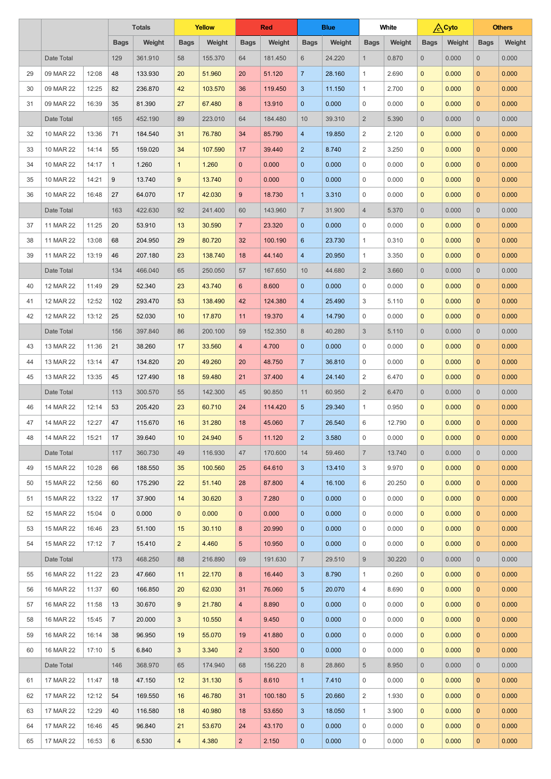|    |            |       | <b>Totals</b>  |         | <b>Yellow</b>  |         | <b>Red</b>           |                 | <b>Blue</b>                      |        | White          |        | <b>A</b> Cyto  |        |                | <b>Others</b>  |
|----|------------|-------|----------------|---------|----------------|---------|----------------------|-----------------|----------------------------------|--------|----------------|--------|----------------|--------|----------------|----------------|
|    |            |       | <b>Bags</b>    | Weight  | <b>Bags</b>    | Weight  | <b>Bags</b>          | Weight          | <b>Bags</b>                      | Weight | <b>Bags</b>    | Weight | <b>Bags</b>    | Weight | <b>Bags</b>    | Weight         |
|    | Date Total |       | 129            | 361.910 | 58             | 155.370 | 64                   | 181.450         | 6                                | 24.220 | $\mathbf{1}$   | 0.870  | $\overline{0}$ | 0.000  | $\overline{0}$ | 0.000          |
| 29 | 09 MAR 22  | 12:08 | 48             | 133.930 | 20             | 51.960  | 20                   | 51.120          | $\overline{7}$                   | 28.160 | $\mathbf{1}$   | 2.690  | $\mathbf{0}$   | 0.000  | $\overline{0}$ | 0.000          |
| 30 | 09 MAR 22  | 12:25 | 82             | 236.870 | 42             | 103.570 | 36                   | 119.450         | $\mathbf{3}$                     | 11.150 | $\mathbf{1}$   | 2.700  | $\mathbf{0}$   | 0.000  | $\overline{0}$ | 0.000          |
| 31 | 09 MAR 22  | 16:39 | 35             | 81.390  | 27             | 67.480  | 8                    | 13.910          | $\overline{0}$                   | 0.000  | $\mathbf 0$    | 0.000  | $\mathbf{0}$   | 0.000  | $\overline{0}$ | 0.000          |
|    | Date Total |       | 165            | 452.190 | 89             | 223.010 | 64                   | 184.480         | 10                               | 39.310 | $\overline{2}$ | 5.390  | $\overline{0}$ | 0.000  | $\overline{0}$ | 0.000          |
| 32 | 10 MAR 22  | 13:36 | 71             | 184.540 | 31             | 76.780  | 34                   | 85.790          | $\overline{4}$                   | 19.850 | $\overline{2}$ | 2.120  | $\mathbf{0}$   | 0.000  | $\overline{0}$ | 0.000          |
| 33 | 10 MAR 22  | 14:14 | 55             | 159.020 | 34             | 107.590 | 17                   | 39.440          | $\overline{2}$                   | 8.740  | 2              | 3.250  | $\mathbf{0}$   | 0.000  | $\overline{0}$ | 0.000          |
| 34 | 10 MAR 22  | 14:17 | $\mathbf{1}$   | 1.260   | $\mathbf{1}$   | 1.260   | $\overline{0}$       | 0.000           | $\overline{0}$                   | 0.000  | $\overline{0}$ | 0.000  | $\mathbf{0}$   | 0.000  | $\overline{0}$ | 0.000          |
| 35 | 10 MAR 22  | 14:21 | 9              | 13.740  | 9              | 13.740  | $\overline{0}$       | 0.000           | $\overline{0}$                   | 0.000  | $\overline{0}$ | 0.000  | $\mathbf{0}$   | 0.000  | $\overline{0}$ | 0.000          |
| 36 | 10 MAR 22  | 16:48 | 27             | 64.070  | 17             | 42.030  | $9\phantom{.}$       | 18.730          | $\mathbf{1}$                     | 3.310  | $\mathbf 0$    | 0.000  | $\mathbf{0}$   | 0.000  | $\overline{0}$ | 0.000          |
|    | Date Total |       | 163            | 422.630 | 92             | 241.400 | 60                   | 143.960         | $\overline{7}$                   | 31.900 | 4              | 5.370  | $\overline{0}$ | 0.000  | $\overline{0}$ | 0.000          |
| 37 | 11 MAR 22  | 11:25 | 20             | 53.910  | 13             | 30.590  | $\overline{7}$       | 23.320          | $\overline{0}$                   | 0.000  | $\mathbf 0$    | 0.000  | $\mathbf{0}$   | 0.000  | $\overline{0}$ | 0.000          |
| 38 | 11 MAR 22  | 13:08 | 68             | 204.950 | 29             | 80.720  | 32                   | 100.190         | $6\phantom{1}6$                  | 23.730 | $\mathbf{1}$   | 0.310  | $\overline{0}$ | 0.000  | $\overline{0}$ | 0.000          |
| 39 | 11 MAR 22  | 13:19 | 46             | 207.180 | 23             | 138.740 | 18                   | 44.140          | $\overline{4}$                   | 20.950 | $\mathbf{1}$   | 3.350  | $\mathbf{0}$   | 0.000  | $\overline{0}$ | 0.000          |
|    | Date Total |       | 134            | 466.040 | 65             | 250.050 | 57                   | 167.650         | 10                               | 44.680 | $\overline{2}$ | 3.660  | $\overline{0}$ | 0.000  | $\overline{0}$ | 0.000          |
| 40 | 12 MAR 22  | 11:49 | 29             | 52.340  | 23             | 43.740  | $6^{\circ}$          | 8.600           | $\overline{0}$                   | 0.000  | $\overline{0}$ | 0.000  | $\mathbf{0}$   | 0.000  | $\overline{0}$ | 0.000          |
| 41 | 12 MAR 22  | 12:52 | 102            | 293.470 | 53             | 138.490 | 42                   | 124.380         | $\overline{4}$                   | 25.490 | 3              | 5.110  | $\mathbf{0}$   | 0.000  | $\overline{0}$ | 0.000          |
| 42 | 12 MAR 22  | 13:12 | 25             | 52.030  | 10             | 17.870  | 11                   | 19.370          | $\overline{4}$                   | 14.790 | $\mathbf 0$    | 0.000  | $\mathbf 0$    | 0.000  | $\mathbf{0}$   | 0.000          |
|    | Date Total |       | 156            | 397.840 | 86             | 200.100 | 59                   | 152.350         | 8                                | 40.280 | 3              | 5.110  | $\overline{0}$ | 0.000  | $\overline{0}$ | 0.000          |
| 43 | 13 MAR 22  | 11:36 | 21             | 38.260  | 17             | 33.560  | $\overline{4}$       | 4.700           | $\mathbf{0}$                     | 0.000  | $\mathbf{0}$   | 0.000  | $\overline{0}$ | 0.000  | $\overline{0}$ | 0.000          |
| 44 | 13 MAR 22  | 13:14 | 47             | 134.820 | 20             | 49.260  | 20                   | 48.750          | $\overline{7}$                   | 36.810 | $\overline{0}$ | 0.000  | $\overline{0}$ | 0.000  | $\mathbf{0}$   | 0.000          |
| 45 | 13 MAR 22  | 13:35 | 45             | 127.490 | 18             | 59.480  | 21                   | 37.400          | $\overline{4}$                   | 24.140 | 2              | 6.470  | $\overline{0}$ | 0.000  | $\mathbf{0}$   | 0.000          |
|    | Date Total |       | 113            | 300.570 | 55             | 142.300 | 45                   | 90.850          | 11                               | 60.950 | $\overline{2}$ | 6.470  | $\overline{0}$ | 0.000  | $\overline{0}$ | 0.000          |
| 46 | 14 MAR 22  | 12:14 | 53             | 205.420 | 23             | 60.710  | 24                   | 114.420         | $5\phantom{.}$                   | 29.340 | $\mathbf{1}$   | 0.950  | $\mathbf{0}$   | 0.000  | $\overline{0}$ | 0.000          |
| 47 | 14 MAR 22  | 12:27 | 47             | 115.670 | 16             | 31.280  | 18                   | 45.060          | $\overline{7}$                   | 26.540 | 6              | 12.790 | $\overline{0}$ | 0.000  | $\overline{0}$ | 0.000          |
| 48 | 14 MAR 22  | 15:21 | 17             | 39.640  | 10             | 24.940  | 5 <sup>5</sup>       | 11.120          | $\overline{2}$                   | 3.580  | $\mathbf{0}$   | 0.000  | $\mathbf{0}$   | 0.000  | $\mathbf{0}$   | 0.000          |
|    | Date Total |       | 117            | 360.730 | 49             | 116.930 | 47                   | 170.600         | 14                               | 59.460 | $\overline{7}$ | 13.740 | $\overline{0}$ | 0.000  | $\overline{0}$ | 0.000          |
| 49 | 15 MAR 22  | 10:28 | 66             | 188.550 | 35             | 100.560 | 25                   | 64.610          | 3                                | 13.410 | 3              | 9.970  | $\overline{0}$ | 0.000  | $\mathbf{0}$   | 0.000          |
| 50 | 15 MAR 22  | 12:56 | 60             | 175.290 | 22             | 51.140  | 28                   | 87.800          | $\overline{4}$                   | 16.100 | 6              | 20.250 | $\mathbf{0}$   | 0.000  | $\mathbf{0}$   | 0.000          |
| 51 | 15 MAR 22  | 13:22 | 17             | 37.900  | 14             | 30.620  | 3 <sup>1</sup>       | 7.280           | $\overline{0}$                   | 0.000  | $\overline{0}$ | 0.000  | $\overline{0}$ | 0.000  | $\overline{0}$ | 0.000          |
| 52 | 15 MAR 22  | 15:04 | $\mathbf{0}$   | 0.000   | $\mathbf{0}$   | 0.000   | $\overline{0}$       | 0.000           | $\overline{0}$                   | 0.000  | $\overline{0}$ | 0.000  | $\overline{0}$ | 0.000  | $\overline{0}$ | 0.000          |
| 53 | 15 MAR 22  | 16:46 | 23             | 51.100  | 15             | 30.110  | 8                    | 20.990          | $\mathbf{0}$                     | 0.000  | $\mathbf{0}$   | 0.000  | $\overline{0}$ | 0.000  | $\overline{0}$ | 0.000          |
| 54 | 15 MAR 22  | 17:12 | $\overline{7}$ | 15.410  | $\overline{2}$ | 4.460   | 5 <sup>5</sup>       | 10.950          | $\overline{0}$                   | 0.000  | $\mathbf 0$    | 0.000  | $\overline{0}$ | 0.000  | $\overline{0}$ | 0.000          |
|    | Date Total |       | 173            | 468.250 | 88             | 216.890 | 69                   | 191.630         | $\overline{7}$                   | 29.510 | 9              | 30.220 | $\overline{0}$ | 0.000  | $\overline{0}$ | 0.000          |
| 55 | 16 MAR 22  | 11:22 | 23             | 47.660  | 11             | 22.170  | 8                    | 16.440          | 3                                | 8.790  | $\mathbf{1}$   | 0.260  | $\overline{0}$ | 0.000  | $\overline{0}$ | 0.000          |
| 56 | 16 MAR 22  | 11:37 | 60             | 166.850 | 20             | 62.030  | 31                   | 76.060          | $5\phantom{.0}$                  | 20.070 | 4              | 8.690  | $\mathbf{0}$   | 0.000  | $\overline{0}$ | 0.000          |
| 57 | 16 MAR 22  | 11:58 | 13             | 30.670  | $9 -$          | 21.780  | 4 <sup>1</sup>       | 8.890           | $\overline{0}$                   | 0.000  | $\overline{0}$ | 0.000  | $\overline{0}$ | 0.000  | $\overline{0}$ | 0.000          |
| 58 | 16 MAR 22  | 15:45 | 7 <sup>1</sup> | 20.000  | 3 <sup>1</sup> | 10.550  | $\overline{4}$       | 9.450           | $\overline{0}$                   | 0.000  | $\overline{0}$ | 0.000  | $\overline{0}$ | 0.000  | $\overline{0}$ | 0.000          |
| 59 | 16 MAR 22  | 16:14 | 38             | 96.950  | 19             | 55.070  | 19                   | 41.880          | $\overline{0}$                   | 0.000  | $\overline{0}$ | 0.000  | $\overline{0}$ | 0.000  | $\overline{0}$ | 0.000          |
| 60 | 16 MAR 22  | 17:10 | 5 <sup>5</sup> | 6.840   | 3 <sup>1</sup> | 3.340   | 2 <sup>1</sup>       | 3.500           | $\overline{0}$                   | 0.000  | $\overline{0}$ | 0.000  | $\mathbf{0}$   | 0.000  | $\overline{0}$ | 0.000          |
|    | Date Total |       | 146            | 368.970 | 65             | 174.940 | 68                   | 156.220         | 8                                | 28.860 | 5              | 8.950  | $\overline{0}$ | 0.000  | $\overline{0}$ | 0.000          |
| 61 | 17 MAR 22  | 11:47 | 18             | 47.150  | 12             | 31.130  | 5 <sup>5</sup>       | 8.610           | $\mathbf{1}$                     | 7.410  | $\overline{0}$ | 0.000  | $\overline{0}$ | 0.000  | $\overline{0}$ | 0.000          |
| 62 | 17 MAR 22  | 12:12 | 54             | 169.550 | 16             | 46.780  | 31                   | 100.180         | 5 <sub>5</sub>                   | 20.660 | $\overline{2}$ | 1.930  | $\overline{0}$ | 0.000  | $\overline{0}$ | 0.000          |
| 63 | 17 MAR 22  | 12:29 | 40             | 116.580 | 18             | 40.980  | 18                   | 53.650          | $\mathbf{3}$                     | 18.050 | $\mathbf{1}$   | 3.900  | $\overline{0}$ | 0.000  | $\overline{0}$ | 0.000          |
| 64 | 17 MAR 22  | 16:46 | 45             | 96.840  | 21             | 53.670  | 24<br>2 <sup>1</sup> | 43.170<br>2.150 | $\overline{0}$<br>$\overline{0}$ | 0.000  | $\overline{0}$ | 0.000  | $\overline{0}$ | 0.000  | $\overline{0}$ | 0.000<br>0.000 |
| 65 | 17 MAR 22  | 16:53 | $6\phantom{.}$ | 6.530   | $\overline{4}$ | 4.380   |                      |                 |                                  | 0.000  | $\overline{0}$ | 0.000  | $\mathbf{0}$   | 0.000  | $\overline{0}$ |                |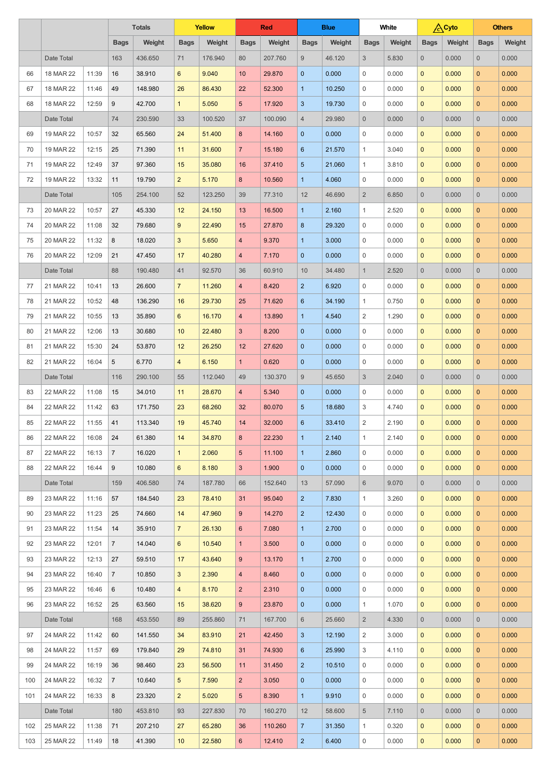|     |            |       | <b>Totals</b>  |         | <b>Yellow</b>    |         | <b>Red</b>      |         | <b>Blue</b>      |        | <b>White</b>   |        | <b>Cyto</b>    |        |                | <b>Others</b> |
|-----|------------|-------|----------------|---------|------------------|---------|-----------------|---------|------------------|--------|----------------|--------|----------------|--------|----------------|---------------|
|     |            |       | <b>Bags</b>    | Weight  | <b>Bags</b>      | Weight  | <b>Bags</b>     | Weight  | <b>Bags</b>      | Weight | <b>Bags</b>    | Weight | <b>Bags</b>    | Weight | <b>Bags</b>    | Weight        |
|     | Date Total |       | 163            | 436.650 | 71               | 176.940 | 80              | 207.760 | $\boldsymbol{9}$ | 46.120 | $\mathfrak{S}$ | 5.830  | $\overline{0}$ | 0.000  | $\overline{0}$ | 0.000         |
| 66  | 18 MAR 22  | 11:39 | 16             | 38.910  | $6^{\circ}$      | 9.040   | 10 <sup>°</sup> | 29.870  | $\overline{0}$   | 0.000  | 0              | 0.000  | $\mathbf{0}$   | 0.000  | $\overline{0}$ | 0.000         |
| 67  | 18 MAR 22  | 11:46 | 49             | 148.980 | 26               | 86.430  | 22              | 52.300  | $\overline{1}$   | 10.250 | 0              | 0.000  | $\mathbf{0}$   | 0.000  | $\overline{0}$ | 0.000         |
| 68  | 18 MAR 22  | 12:59 | 9              | 42.700  | $\mathbf{1}$     | 5.050   | 5 <sup>5</sup>  | 17.920  | 3                | 19.730 | 0              | 0.000  | $\mathbf{0}$   | 0.000  | $\overline{0}$ | 0.000         |
|     | Date Total |       | 74             | 230.590 | 33               | 100.520 | 37              | 100.090 | $\overline{4}$   | 29.980 | $\overline{0}$ | 0.000  | $\overline{0}$ | 0.000  | $\overline{0}$ | 0.000         |
| 69  | 19 MAR 22  | 10:57 | 32             | 65.560  | 24               | 51.400  | 8               | 14.160  | $\overline{0}$   | 0.000  | $\mathbf{0}$   | 0.000  | $\mathbf{0}$   | 0.000  | $\overline{0}$ | 0.000         |
| 70  | 19 MAR 22  | 12:15 | 25             | 71.390  | 11               | 31.600  | $\overline{7}$  | 15.180  | 6                | 21.570 | $\mathbf{1}$   | 3.040  | $\mathbf{0}$   | 0.000  | $\overline{0}$ | 0.000         |
| 71  | 19 MAR 22  | 12:49 | 37             | 97.360  | 15               | 35.080  | 16              | 37.410  | $\overline{5}$   | 21.060 | $\mathbf{1}$   | 3.810  | $\mathbf{0}$   | 0.000  | $\overline{0}$ | 0.000         |
| 72  | 19 MAR 22  | 13:32 | 11             | 19.790  | 2 <sup>1</sup>   | 5.170   | 8               | 10.560  | $\overline{1}$   | 4.060  | $\mathbf{0}$   | 0.000  | $\mathbf{0}$   | 0.000  | $\overline{0}$ | 0.000         |
|     | Date Total |       | 105            | 254.100 | 52               | 123.250 | 39              | 77.310  | 12               | 46.690 | $\overline{2}$ | 6.850  | $\overline{0}$ | 0.000  | $\overline{0}$ | 0.000         |
| 73  | 20 MAR 22  | 10:57 | 27             | 45.330  | 12               | 24.150  | 13              | 16.500  | 1                | 2.160  | 1              | 2.520  | $\mathbf{0}$   | 0.000  | $\overline{0}$ | 0.000         |
| 74  | 20 MAR 22  | 11:08 | 32             | 79.680  | 9                | 22.490  | 15              | 27.870  | 8                | 29.320 | 0              | 0.000  | $\mathbf{0}$   | 0.000  | $\overline{0}$ | 0.000         |
| 75  | 20 MAR 22  | 11:32 | 8              | 18.020  | 3                | 5.650   | $\overline{4}$  | 9.370   | 1                | 3.000  | $\mathbf{0}$   | 0.000  | $\mathbf{0}$   | 0.000  | $\overline{0}$ | 0.000         |
| 76  | 20 MAR 22  | 12:09 | 21             | 47.450  | 17               | 40.280  | $\overline{4}$  | 7.170   | $\overline{0}$   | 0.000  | 0              | 0.000  | $\mathbf{0}$   | 0.000  | $\overline{0}$ | 0.000         |
|     | Date Total |       | 88             | 190.480 | 41               | 92.570  | 36              | 60.910  | 10               | 34.480 | $\mathbf{1}$   | 2.520  | $\overline{0}$ | 0.000  | $\overline{0}$ | 0.000         |
| 77  | 21 MAR 22  | 10:41 | 13             | 26.600  | $\overline{7}$   | 11.260  | $\overline{4}$  | 8.420   | $\overline{2}$   | 6.920  | $\mathbf{0}$   | 0.000  | $\mathbf{0}$   | 0.000  | $\overline{0}$ | 0.000         |
| 78  | 21 MAR 22  | 10:52 | 48             | 136.290 | 16               | 29.730  | 25              | 71.620  | 6                | 34.190 | 1              | 0.750  | $\mathbf{0}$   | 0.000  | $\overline{0}$ | 0.000         |
| 79  | 21 MAR 22  | 10:55 | 13             | 35.890  | $6\phantom{1}$   | 16.170  | 4               | 13.890  | 1                | 4.540  | $\overline{2}$ | 1.290  | $\mathbf{0}$   | 0.000  | $\mathbf{0}$   | 0.000         |
| 80  | 21 MAR 22  | 12:06 | 13             | 30.680  | 10               | 22.480  | 3               | 8.200   | $\overline{0}$   | 0.000  | 0              | 0.000  | $\mathbf{0}$   | 0.000  | $\mathbf{0}$   | 0.000         |
| 81  | 21 MAR 22  | 15:30 | 24             | 53.870  | 12               | 26.250  | 12              | 27.620  | $\overline{0}$   | 0.000  | $\mathbf{0}$   | 0.000  | $\mathbf{0}$   | 0.000  | $\mathbf{0}$   | 0.000         |
| 82  | 21 MAR 22  | 16:04 | 5              | 6.770   | 4                | 6.150   | 1 <sup>1</sup>  | 0.620   | $\overline{0}$   | 0.000  | 0              | 0.000  | $\mathbf{0}$   | 0.000  | $\mathbf{0}$   | 0.000         |
|     | Date Total |       | 116            | 290.100 | 55               | 112.040 | 49              | 130.370 | 9                | 45.650 | $\mathfrak{S}$ | 2.040  | $\overline{0}$ | 0.000  | $\overline{0}$ | 0.000         |
| 83  | 22 MAR 22  | 11:08 | 15             | 34.010  | 11               | 28.670  | $\overline{4}$  | 5.340   | $\overline{0}$   | 0.000  | $\overline{0}$ | 0.000  | $\mathbf{0}$   | 0.000  | $\mathbf{0}$   | 0.000         |
| 84  | 22 MAR 22  | 11:42 | 63             | 171.750 | 23               | 68.260  | 32              | 80.070  | $\overline{5}$   | 18.680 | 3              | 4.740  | $\mathbf{0}$   | 0.000  | $\overline{0}$ | 0.000         |
| 85  | 22 MAR 22  | 11:55 | 41             | 113.340 | 19               | 45.740  | 14              | 32.000  | $\sqrt{6}$       | 33.410 | $\overline{2}$ | 2.190  | $\mathbf{0}$   | 0.000  | $\mathbf{0}$   | 0.000         |
| 86  | 22 MAR 22  | 16:08 | 24             | 61.380  | 14               | 34.870  | 8               | 22.230  | 1                | 2.140  | $\mathbf{1}$   | 2.140  | $\mathbf{0}$   | 0.000  | $\overline{0}$ | 0.000         |
| 87  | 22 MAR 22  | 16:13 | $\overline{7}$ | 16.020  | $\mathbf{1}$     | 2.060   | 5 <sup>5</sup>  | 11.100  | 1                | 2.860  | 0              | 0.000  | $\mathbf{0}$   | 0.000  | $\mathbf{0}$   | 0.000         |
| 88  | 22 MAR 22  | 16:44 | 9              | 10.080  | $6^{\circ}$      | 8.180   | 3 <sup>1</sup>  | 1.900   | $\overline{0}$   | 0.000  | $\mathbf{0}$   | 0.000  | $\mathbf{0}$   | 0.000  | $\mathbf{0}$   | 0.000         |
|     | Date Total |       | 159            | 406.580 | 74               | 187.780 | 66              | 152.640 | 13               | 57.090 | $6\,$          | 9.070  | $\overline{0}$ | 0.000  | $\overline{0}$ | 0.000         |
| 89  | 23 MAR 22  | 11:16 | 57             | 184.540 | 23               | 78.410  | 31              | 95.040  | $\overline{2}$   | 7.830  | $\mathbf{1}$   | 3.260  | $\mathbf{0}$   | 0.000  | $\mathbf{0}$   | 0.000         |
| 90  | 23 MAR 22  | 11:23 | 25             | 74.660  | 14               | 47.960  | 9 <sup>°</sup>  | 14.270  | $\overline{2}$   | 12.430 | $\overline{0}$ | 0.000  | $\mathbf{0}$   | 0.000  | $\overline{0}$ | 0.000         |
| 91  | 23 MAR 22  | 11:54 | 14             | 35.910  | $\overline{7}$   | 26.130  | $6^{\circ}$     | 7.080   | $\mathbf{1}$     | 2.700  | $\mathbf{0}$   | 0.000  | $\mathbf{0}$   | 0.000  | $\mathbf{0}$   | 0.000         |
| 92  | 23 MAR 22  | 12:01 | $\overline{7}$ | 14.040  | $6 \overline{6}$ | 10.540  | 1               | 3.500   | $\overline{0}$   | 0.000  | $\overline{0}$ | 0.000  | $\mathbf{0}$   | 0.000  | $\mathbf{0}$   | 0.000         |
| 93  | 23 MAR 22  | 12:13 | 27             | 59.510  | 17               | 43.640  | 9 <sup>°</sup>  | 13.170  | 1                | 2.700  | 0              | 0.000  | $\mathbf{0}$   | 0.000  | $\mathbf{0}$   | 0.000         |
| 94  | 23 MAR 22  | 16:40 | $\overline{7}$ | 10.850  | 3                | 2.390   | $\overline{4}$  | 8.460   | $\overline{0}$   | 0.000  | $\mathbf{0}$   | 0.000  | $\mathbf{0}$   | 0.000  | $\mathbf{0}$   | 0.000         |
| 95  | 23 MAR 22  | 16:46 | 6              | 10.480  | $\overline{4}$   | 8.170   | $\overline{2}$  | 2.310   | $\overline{0}$   | 0.000  | $\mathbf{0}$   | 0.000  | $\mathbf{0}$   | 0.000  | $\mathbf{0}$   | 0.000         |
| 96  | 23 MAR 22  | 16:52 | 25             | 63.560  | 15               | 38.620  | 9 <sup>1</sup>  | 23.870  | $\overline{0}$   | 0.000  | $\mathbf{1}$   | 1.070  | $\overline{0}$ | 0.000  | $\mathbf{0}$   | 0.000         |
|     | Date Total |       | 168            | 453.550 | 89               | 255.860 | 71              | 167.700 | 6                | 25.660 | $\overline{2}$ | 4.330  | $\overline{0}$ | 0.000  | $\overline{0}$ | 0.000         |
| 97  | 24 MAR 22  | 11:42 | 60             | 141.550 | 34               | 83.910  | 21              | 42.450  | 3 <sup>2</sup>   | 12.190 | $\overline{2}$ | 3.000  | $\overline{0}$ | 0.000  | $\overline{0}$ | 0.000         |
| 98  | 24 MAR 22  | 11:57 | 69             | 179.840 | 29               | 74.810  | 31              | 74.930  | $6\overline{6}$  | 25.990 | 3              | 4.110  | $\mathbf{0}$   | 0.000  | $\mathbf{0}$   | 0.000         |
| 99  | 24 MAR 22  | 16:19 | 36             | 98.460  | 23               | 56.500  | 11              | 31.450  | 2 <sup>1</sup>   | 10.510 | $\overline{0}$ | 0.000  | $\mathbf{0}$   | 0.000  | $\overline{0}$ | 0.000         |
| 100 | 24 MAR 22  | 16:32 | $\overline{7}$ | 10.640  | 5 <sup>5</sup>   | 7.590   | 2 <sup>1</sup>  | 3.050   | $\overline{0}$   | 0.000  | $\overline{0}$ | 0.000  | $\mathbf{0}$   | 0.000  | $\mathbf{0}$   | 0.000         |
| 101 | 24 MAR 22  | 16:33 | 8              | 23.320  | $\overline{2}$   | 5.020   | 5 <sup>5</sup>  | 8.390   | $\mathbf{1}$     | 9.910  | $\overline{0}$ | 0.000  | $\overline{0}$ | 0.000  | $\mathbf{0}$   | 0.000         |
|     | Date Total |       | 180            | 453.810 | 93               | 227.830 | 70              | 160.270 | 12               | 58.600 | $5\phantom{.}$ | 7.110  | $\overline{0}$ | 0.000  | $\overline{0}$ | 0.000         |
| 102 | 25 MAR 22  | 11:38 | 71             | 207.210 | 27               | 65.280  | 36              | 110.260 | 7 <sup>2</sup>   | 31.350 | $\mathbf{1}$   | 0.320  | $\overline{0}$ | 0.000  | $\overline{0}$ | 0.000         |
| 103 | 25 MAR 22  | 11:49 | 18             | 41.390  | 10 <sup>°</sup>  | 22.580  | 6 <sup>1</sup>  | 12.410  | $\overline{2}$   | 6.400  | $\overline{0}$ | 0.000  | $\overline{0}$ | 0.000  | $\overline{0}$ | 0.000         |